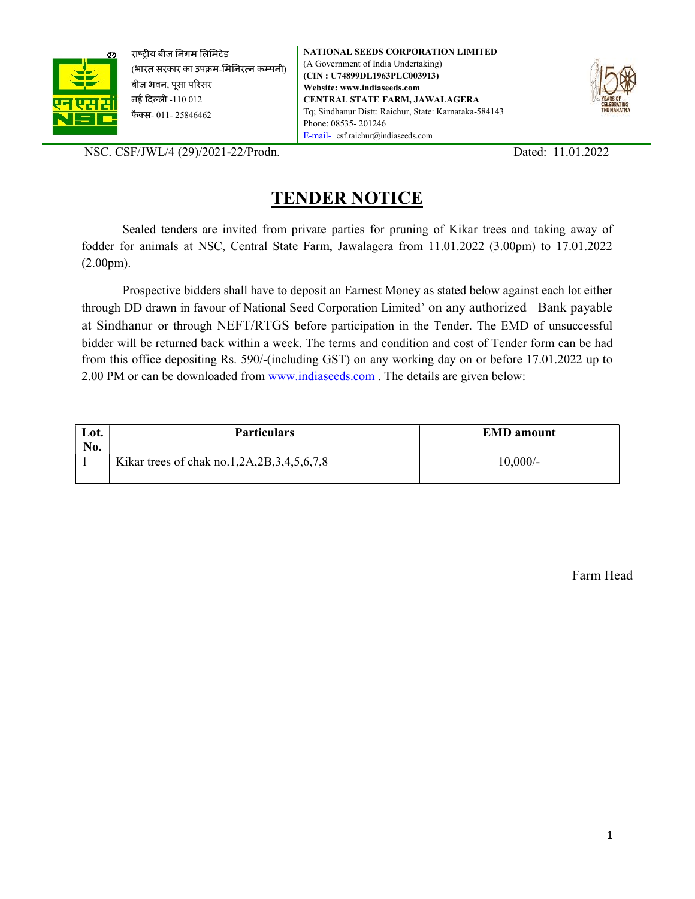

राष्ट्रीय बीज निगम लिमिटेड (भारत सरकार का उपक्रम-मिनिरत्न कम्पनी) बीज भवन, पूसा परिसर नई दिल्ली -110 012 फैक्स- 011- 25846462



NSC. CSF/JWL/4 (29)/2021-22/Prodn. Dated: 11.01.2022

# TENDER NOTICE

Sealed tenders are invited from private parties for pruning of Kikar trees and taking away of fodder for animals at NSC, Central State Farm, Jawalagera from 11.01.2022 (3.00pm) to 17.01.2022 (2.00pm).

 Prospective bidders shall have to deposit an Earnest Money as stated below against each lot either through DD drawn in favour of National Seed Corporation Limited' on any authorized Bank payable at Sindhanur or through NEFT/RTGS before participation in the Tender. The EMD of unsuccessful bidder will be returned back within a week. The terms and condition and cost of Tender form can be had from this office depositing Rs. 590/-(including GST) on any working day on or before 17.01.2022 up to 2.00 PM or can be downloaded from www.indiaseeds.com . The details are given below:

| Lot.<br>No. | <b>Particulars</b>                         | <b>EMD</b> amount |
|-------------|--------------------------------------------|-------------------|
|             | Kikar trees of chak no.1,2A,2B,3,4,5,6,7,8 | $10,000/-$        |

Farm Head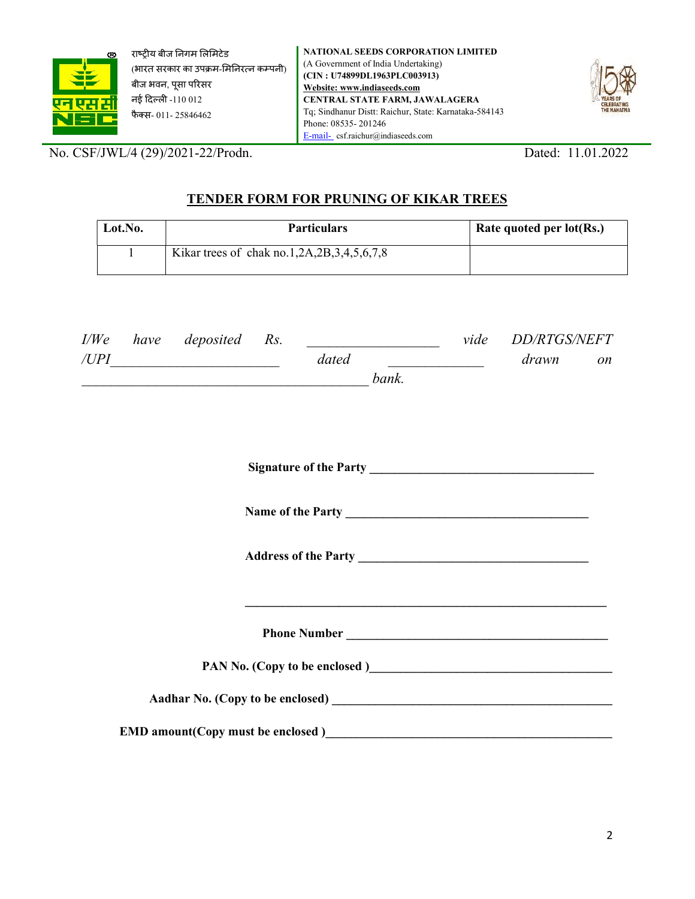

राष्ट्रीय बीज निगम लिमिटेड (भारत सरकार का उपक्रम-मिनिरत्न कम्पनी) बीज भवन, पूसा परिसर नई Ǒदãलȣ -110 012 फैक्स- 011- 25846462

NATIONAL SEEDS CORPORATION LIMITED (A Government of India Undertaking) (CIN : U74899DL1963PLC003913) Website: www.indiaseeds.com CENTRAL STATE FARM, JAWALAGERA Tq; Sindhanur Distt: Raichur, State: Karnataka-584143 Phone: 08535- 201246 E-mail- csf.raichur@indiaseeds.com



No. CSF/JWL/4 (29)/2021-22/Prodn. Dated: 11.01.2022

# TENDER FORM FOR PRUNING OF KIKAR TREES

| Lot.No. | <b>Particulars</b>                         | Rate quoted per lot(Rs.) |
|---------|--------------------------------------------|--------------------------|
|         | Kikar trees of chak no.1,2A,2B,3,4,5,6,7,8 |                          |

|      | I/We have deposited Rs. |       |       | vide DD/RTGS/NEFT |           |
|------|-------------------------|-------|-------|-------------------|-----------|
| /UPI |                         | dated |       | drawn             | <i>on</i> |
|      |                         |       | bank. |                   |           |
|      |                         |       |       |                   |           |
|      |                         |       |       |                   |           |

Signature of the Party \_\_\_\_\_\_\_\_\_\_\_\_\_\_\_\_\_\_\_\_\_\_\_\_\_\_\_\_\_\_\_\_\_\_\_\_

Name of the Party \_\_\_\_\_\_\_\_\_\_\_\_\_\_\_\_\_\_\_\_\_\_\_\_\_\_\_\_\_\_\_\_\_\_\_\_\_\_\_

Address of the Party \_\_\_\_\_\_\_\_\_\_\_\_\_\_\_\_\_\_\_\_\_\_\_\_\_\_\_\_\_\_\_\_\_\_\_\_\_

 $\mathcal{L}_\text{max} = \mathcal{L}_\text{max} = \mathcal{L}_\text{max} = \mathcal{L}_\text{max} = \mathcal{L}_\text{max} = \mathcal{L}_\text{max} = \mathcal{L}_\text{max} = \mathcal{L}_\text{max} = \mathcal{L}_\text{max} = \mathcal{L}_\text{max} = \mathcal{L}_\text{max} = \mathcal{L}_\text{max} = \mathcal{L}_\text{max} = \mathcal{L}_\text{max} = \mathcal{L}_\text{max} = \mathcal{L}_\text{max} = \mathcal{L}_\text{max} = \mathcal{L}_\text{max} = \mathcal{$ 

Phone Number \_\_\_\_\_\_\_\_\_\_\_\_\_\_\_\_\_\_\_\_\_\_\_\_\_\_\_\_\_\_\_\_\_\_\_\_\_\_\_\_\_\_

PAN No. (Copy to be enclosed)

Aadhar No. (Copy to be enclosed) \_\_\_\_\_\_\_\_\_\_\_\_\_\_\_\_\_\_\_\_\_\_\_\_\_\_\_\_\_\_\_\_\_\_\_\_\_\_\_\_\_\_\_\_\_

EMD amount(Copy must be enclosed )\_\_\_\_\_\_\_\_\_\_\_\_\_\_\_\_\_\_\_\_\_\_\_\_\_\_\_\_\_\_\_\_\_\_\_\_\_\_\_\_\_\_\_\_\_\_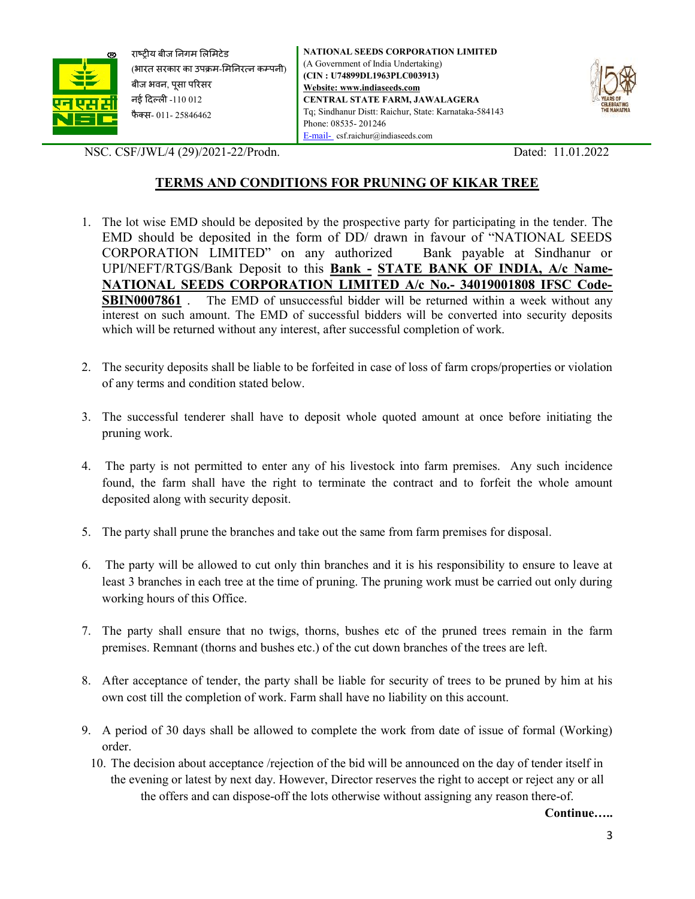

राष्ट्रीय बीज निगम लिमिटेड (भारत सरकार का उपक्रम-मिनिरत्न कम्पनी) बीज भवन, पूसा परिसर नई दिल्ली -110 012 फैक्स- 011- 25846462

NATIONAL SEEDS CORPORATION LIMITED (A Government of India Undertaking) (CIN : U74899DL1963PLC003913) Website: www.indiaseeds.com CENTRAL STATE FARM, JAWALAGERA Tq; Sindhanur Distt: Raichur, State: Karnataka-584143 Phone: 08535- 201246 E-mail- csf.raichur@indiaseeds.com



NSC. CSF/JWL/4 (29)/2021-22/Prodn. Dated: 11.01.2022

## TERMS AND CONDITIONS FOR PRUNING OF KIKAR TREE

- 1. The lot wise EMD should be deposited by the prospective party for participating in the tender. The EMD should be deposited in the form of DD/ drawn in favour of "NATIONAL SEEDS CORPORATION LIMITED" on any authorized Bank payable at Sindhanur or UPI/NEFT/RTGS/Bank Deposit to this Bank - STATE BANK OF INDIA, A/c Name-NATIONAL SEEDS CORPORATION LIMITED A/c No.- 34019001808 IFSC Code-SBIN0007861. The EMD of unsuccessful bidder will be returned within a week without any interest on such amount. The EMD of successful bidders will be converted into security deposits which will be returned without any interest, after successful completion of work.
- 2. The security deposits shall be liable to be forfeited in case of loss of farm crops/properties or violation of any terms and condition stated below.
- 3. The successful tenderer shall have to deposit whole quoted amount at once before initiating the pruning work.
- 4. The party is not permitted to enter any of his livestock into farm premises. Any such incidence found, the farm shall have the right to terminate the contract and to forfeit the whole amount deposited along with security deposit.
- 5. The party shall prune the branches and take out the same from farm premises for disposal.
- 6. The party will be allowed to cut only thin branches and it is his responsibility to ensure to leave at least 3 branches in each tree at the time of pruning. The pruning work must be carried out only during working hours of this Office.
- 7. The party shall ensure that no twigs, thorns, bushes etc of the pruned trees remain in the farm premises. Remnant (thorns and bushes etc.) of the cut down branches of the trees are left.
- 8. After acceptance of tender, the party shall be liable for security of trees to be pruned by him at his own cost till the completion of work. Farm shall have no liability on this account.
- 9. A period of 30 days shall be allowed to complete the work from date of issue of formal (Working) order.
	- 10. The decision about acceptance /rejection of the bid will be announced on the day of tender itself in the evening or latest by next day. However, Director reserves the right to accept or reject any or all the offers and can dispose-off the lots otherwise without assigning any reason there-of.

Continue…..